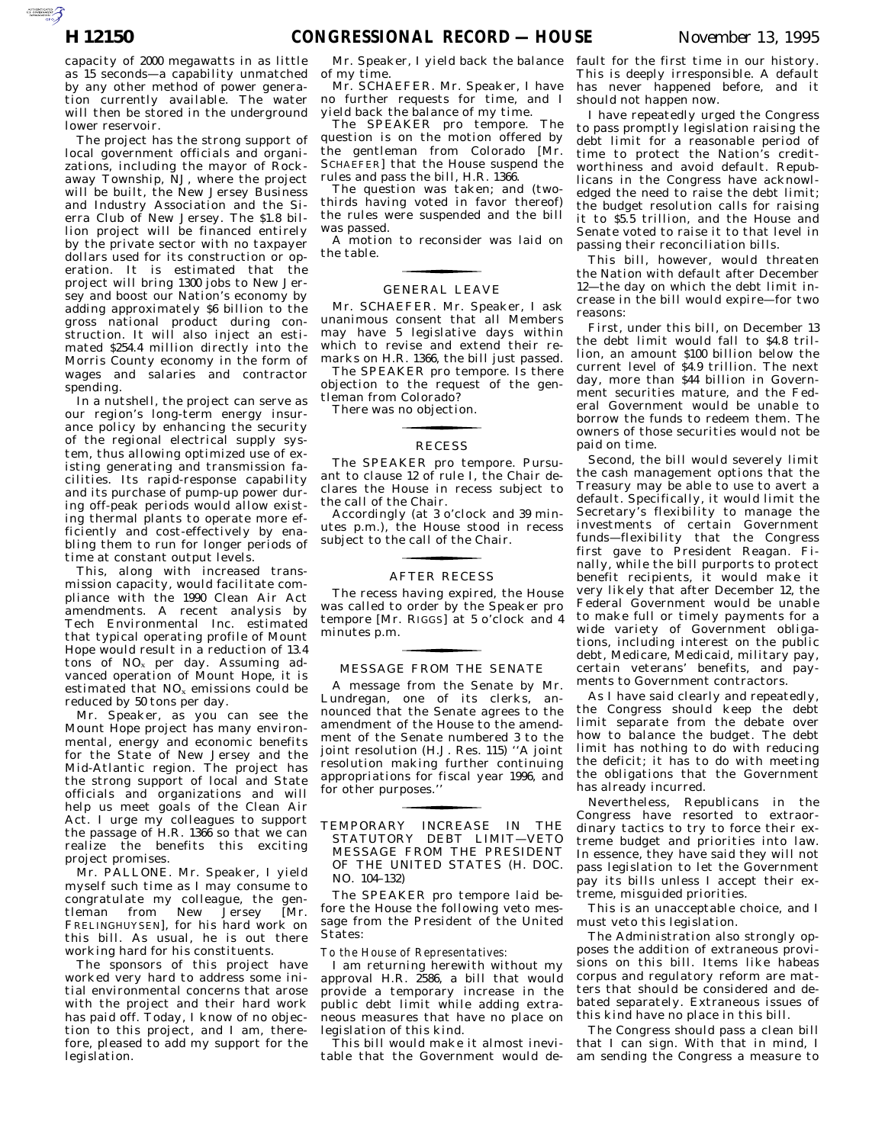capacity of 2000 megawatts in as little as 15 seconds—a capability unmatched by any other method of power generation currently available. The water will then be stored in the underground lower reservoir.

The project has the strong support of local government officials and organizations, including the mayor of Rockaway Township, NJ, where the project will be built, the New Jersey Business and Industry Association and the Sierra Club of New Jersey. The \$1.8 billion project will be financed entirely by the private sector with no taxpayer dollars used for its construction or operation. It is estimated that the project will bring 1300 jobs to New Jersey and boost our Nation's economy by adding approximately \$6 billion to the gross national product during construction. It will also inject an estimated \$254.4 million directly into the Morris County economy in the form of wages and salaries and contractor spending.

In a nutshell, the project can serve as our region's long-term energy insurance policy by enhancing the security of the regional electrical supply system, thus allowing optimized use of existing generating and transmission facilities. Its rapid-response capability and its purchase of pump-up power during off-peak periods would allow existing thermal plants to operate more efficiently and cost-effectively by enabling them to run for longer periods of time at constant output levels.

This, along with increased transmission capacity, would facilitate compliance with the 1990 Clean Air Act amendments. A recent analysis by Tech Environmental Inc. estimated that typical operating profile of Mount Hope would result in a reduction of 13.4 tons of  $NO<sub>x</sub>$  per day. Assuming advanced operation of Mount Hope, it is estimated that  $NO<sub>x</sub>$  emissions could be reduced by 50 tons per day.

Mr. Speaker, as you can see the Mount Hope project has many environmental, energy and economic benefits for the State of New Jersey and the Mid-Atlantic region. The project has the strong support of local and State officials and organizations and will help us meet goals of the Clean Air Act. I urge my colleagues to support the passage of H.R. 1366 so that we can realize the benefits this exciting project promises.

Mr. PALLONE. Mr. Speaker, I yield myself such time as I may consume to congratulate my colleague, the gentleman from New Jersey [Mr. FRELINGHUYSEN], for his hard work on this bill. As usual, he is out there working hard for his constituents.

The sponsors of this project have worked very hard to address some initial environmental concerns that arose with the project and their hard work has paid off. Today, I know of no objection to this project, and I am, therefore, pleased to add my support for the legislation.

Mr. Speaker, I yield back the balance of my time.

Mr. SCHAEFER. Mr. Speaker, I have no further requests for time, and I yield back the balance of my time.

The SPEAKER pro tempore. The question is on the motion offered by the gentleman from Colorado [Mr. SCHAEFER] that the House suspend the rules and pass the bill, H.R. 1366.

The question was taken; and (twothirds having voted in favor thereof) the rules were suspended and the bill was passed.

A motion to reconsider was laid on the table.

## GENERAL LEAVE for the control of the control of

Mr. SCHAEFER. Mr. Speaker, I ask unanimous consent that all Members may have 5 legislative days within which to revise and extend their remarks on H.R. 1366, the bill just passed.

The SPEAKER pro tempore. Is there objection to the request of the gen-

tleman from Colorado?

There was no objection. for the control of the control of

### **RECESS**

The SPEAKER pro tempore. Pursuant to clause 12 of rule I, the Chair declares the House in recess subject to the call of the Chair.

Accordingly (at 3 o'clock and 39 minutes p.m.), the House stood in recess subject to the call of the Chair.

# AFTER RECESS for the control of the control of

The recess having expired, the House was called to order by the Speaker pro tempore [Mr. RIGGS] at 5 o'clock and 4 minutes p.m.

## MESSAGE FROM THE SENATE for the control of the control of

A message from the Senate by Mr. Lundregan, one of its clerks, announced that the Senate agrees to the amendment of the House to the amendment of the Senate numbered 3 to the joint resolution (H.J. Res. 115) ''A joint resolution making further continuing appropriations for fiscal year 1996, and for other purposes.''

TEMPORARY INCREASE IN THE STATUTORY DEBT LIMIT—VETO MESSAGE FROM THE PRESIDENT OF THE UNITED STATES (H. DOC. NO. 104–132)

for the control of the control of

The SPEAKER pro tempore laid before the House the following veto message from the President of the United States:

### *To the House of Representatives:*

I am returning herewith without my approval H.R. 2586, a bill that would provide a temporary increase in the public debt limit while adding extraneous measures that have no place on legislation of this kind.

This bill would make it almost inevitable that the Government would default for the first time in our history. This is deeply irresponsible. A default has never happened before, and it should not happen now.

I have repeatedly urged the Congress to pass promptly legislation raising the debt limit for a reasonable period of time to protect the Nation's creditworthiness and avoid default. Republicans in the Congress have acknowledged the need to raise the debt limit; the budget resolution calls for raising it to \$5.5 trillion, and the House and Senate voted to raise it to that level in passing their reconciliation bills.

This bill, however, would threaten the Nation with default after December 12—the day on which the debt limit increase in the bill would expire—for two reasons:

First, under this bill, on December 13 the debt limit would fall to \$4.8 trillion, an amount \$100 billion below the current level of \$4.9 trillion. The next day, more than \$44 billion in Government securities mature, and the Federal Government would be unable to borrow the funds to redeem them. The owners of those securities would not be paid on time.

Second, the bill would severely limit the cash management options that the Treasury may be able to use to avert a default. Specifically, it would limit the Secretary's flexibility to manage the investments of certain Government funds—flexibility that the Congress first gave to President Reagan. Finally, while the bill purports to protect benefit recipients, it would make it very likely that after December 12, the Federal Government would be unable to make full or timely payments for a wide variety of Government obligations, including interest on the public debt, Medicare, Medicaid, military pay, certain veterans' benefits, and payments to Government contractors.

As I have said clearly and repeatedly, the Congress should keep the debt limit separate from the debate over how to balance the budget. The debt limit has nothing to do with reducing the deficit; it has to do with meeting the obligations that the Government has already incurred.

Nevertheless, Republicans in the Congress have resorted to extraordinary tactics to try to force their extreme budget and priorities into law. In essence, they have said they will not pass legislation to let the Government pay its bills unless I accept their extreme, misguided priorities.

This is an unacceptable choice, and I must veto this legislation.

The Administration also strongly opposes the addition of extraneous provisions on this bill. Items like habeas corpus and regulatory reform are matters that should be considered and debated separately. Extraneous issues of this kind have no place in this bill.

The Congress should pass a clean bill that I can sign. With that in mind, I am sending the Congress a measure to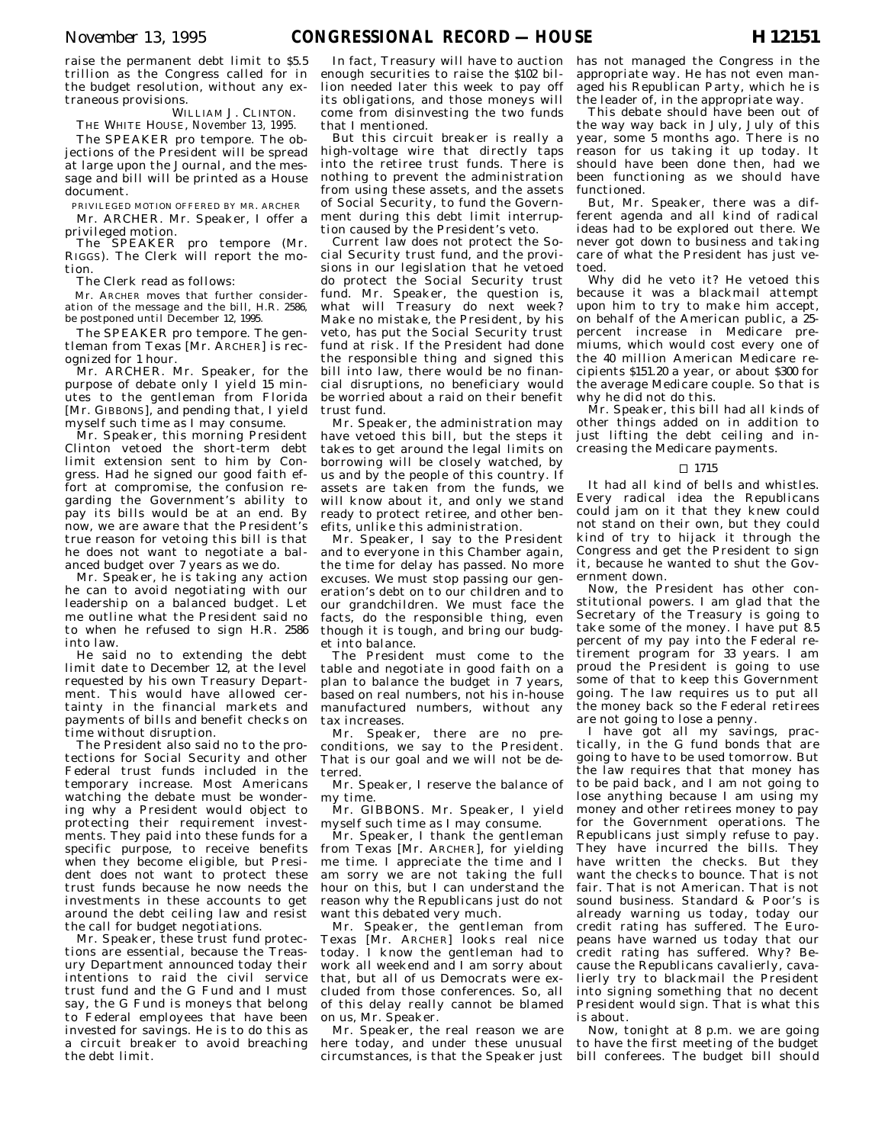raise the permanent debt limit to \$5.5 trillion as the Congress called for in the budget resolution, without any extraneous provisions.

WILLIAM J. CLINTON. THE WHITE HOUSE, *November 13, 1995.*

The SPEAKER pro tempore. The objections of the President will be spread at large upon the Journal, and the message and bill will be printed as a House document.

PRIVILEGED MOTION OFFERED BY MR. ARCHER Mr. ARCHER. Mr. Speaker, I offer a

privileged motion. The SPEAKER pro tempore (Mr. RIGGS). The Clerk will report the motion.

The Clerk read as follows:

Mr. ARCHER moves that further consideration of the message and the bill, H.R. 2586, be postponed until December 12, 1995.

The SPEAKER pro tempore. The gentleman from Texas [Mr. ARCHER] is recognized for 1 hour.

Mr. ARCHER. Mr. Speaker, for the purpose of debate only I yield 15 minutes to the gentleman from Florida [Mr. GIBBONS], and pending that, I yield myself such time as I may consume.

Mr. Speaker, this morning President Clinton vetoed the short-term debt limit extension sent to him by Congress. Had he signed our good faith effort at compromise, the confusion regarding the Government's ability to pay its bills would be at an end. By now, we are aware that the President's true reason for vetoing this bill is that he does not want to negotiate a balanced budget over 7 years as we do.

Mr. Speaker, he is taking any action he can to avoid negotiating with our leadership on a balanced budget. Let me outline what the President said no to when he refused to sign H.R. 2586 into law.

He said no to extending the debt limit date to December 12, at the level requested by his own Treasury Department. This would have allowed certainty in the financial markets and payments of bills and benefit checks on time without disruption.

The President also said no to the protections for Social Security and other Federal trust funds included in the temporary increase. Most Americans watching the debate must be wondering why a President would object to protecting their requirement investments. They paid into these funds for a specific purpose, to receive benefits when they become eligible, but President does not want to protect these trust funds because he now needs the investments in these accounts to get around the debt ceiling law and resist the call for budget negotiations.

Mr. Speaker, these trust fund protections are essential, because the Treasury Department announced today their intentions to raid the civil service trust fund and the G Fund and I must say, the G Fund is moneys that belong to Federal employees that have been invested for savings. He is to do this as a circuit breaker to avoid breaching the debt limit.

In fact, Treasury will have to auction enough securities to raise the \$102 billion needed later this week to pay off its obligations, and those moneys will come from disinvesting the two funds that I mentioned.

But this circuit breaker is really a high-voltage wire that directly taps into the retiree trust funds. There is nothing to prevent the administration from using these assets, and the assets of Social Security, to fund the Government during this debt limit interruption caused by the President's veto.

Current law does not protect the Social Security trust fund, and the provisions in our legislation that he vetoed do protect the Social Security trust fund. Mr. Speaker, the question is, what will Treasury do next week? Make no mistake, the President, by his veto, has put the Social Security trust fund at risk. If the President had done the responsible thing and signed this bill into law, there would be no financial disruptions, no beneficiary would be worried about a raid on their benefit trust fund.

Mr. Speaker, the administration may have vetoed this bill, but the steps it takes to get around the legal limits on borrowing will be closely watched, by us and by the people of this country. If assets are taken from the funds, we will know about it, and only we stand ready to protect retiree, and other benefits, unlike this administration.

Mr. Speaker, I say to the President and to everyone in this Chamber again, the time for delay has passed. No more excuses. We must stop passing our generation's debt on to our children and to our grandchildren. We must face the facts, do the responsible thing, even though it is tough, and bring our budget into balance.

The President must come to the table and negotiate in good faith on a plan to balance the budget in 7 years, based on real numbers, not his in-house manufactured numbers, without any tax increases.

Mr. Speaker, there are no preconditions, we say to the President. That is our goal and we will not be deterred.

Mr. Speaker, I reserve the balance of my time.

Mr. GIBBONS. Mr. Speaker, I yield myself such time as I may consume.

Mr. Speaker, I thank the gentleman from Texas [Mr. ARCHER], for yielding me time. I appreciate the time and I am sorry we are not taking the full hour on this, but I can understand the reason why the Republicans just do not want this debated very much.

Mr. Speaker, the gentleman from Texas [Mr. ARCHER] looks real nice today. I know the gentleman had to work all weekend and I am sorry about that, but all of us Democrats were excluded from those conferences. So, all of this delay really cannot be blamed on us, Mr. Speaker.

Mr. Speaker, the real reason we are here today, and under these unusual circumstances, is that the Speaker just

has not managed the Congress in the appropriate way. He has not even managed his Republican Party, which he is the leader of, in the appropriate way.

This debate should have been out of the way way back in July, July of this year, some 5 months ago. There is no reason for us taking it up today. It should have been done then, had we been functioning as we should have functioned.

But, Mr. Speaker, there was a different agenda and all kind of radical ideas had to be explored out there. We never got down to business and taking care of what the President has just vetoed.

Why did he veto it? He vetoed this because it was a blackmail attempt upon him to try to make him accept, on behalf of the American public, a 25 percent increase in Medicare premiums, which would cost every one of the 40 million American Medicare recipients \$151.20 a year, or about \$300 for the average Medicare couple. So that is why he did not do this.

Mr. Speaker, this bill had all kinds of other things added on in addition to just lifting the debt ceiling and increasing the Medicare payments.

#### $\square$  1715

It had all kind of bells and whistles. Every radical idea the Republicans could jam on it that they knew could not stand on their own, but they could kind of try to hijack it through the Congress and get the President to sign it, because he wanted to shut the Government down.

Now, the President has other constitutional powers. I am glad that the Secretary of the Treasury is going to take some of the money. I have put 8.5 percent of my pay into the Federal retirement program for 33 years. I am proud the President is going to use some of that to keep this Government going. The law requires us to put all the money back so the Federal retirees are not going to lose a penny.

I have got all my savings, practically, in the G fund bonds that are going to have to be used tomorrow. But the law requires that that money has to be paid back, and I am not going to lose anything because I am using my money and other retirees money to pay for the Government operations. The Republicans just simply refuse to pay. They have incurred the bills. They have written the checks. But they want the checks to bounce. That is not fair. That is not American. That is not sound business. Standard & Poor's is already warning us today, today our credit rating has suffered. The Europeans have warned us today that our credit rating has suffered. Why? Because the Republicans cavalierly, cavalierly try to blackmail the President into signing something that no decent President would sign. That is what this is about.

Now, tonight at 8 p.m. we are going to have the first meeting of the budget bill conferees. The budget bill should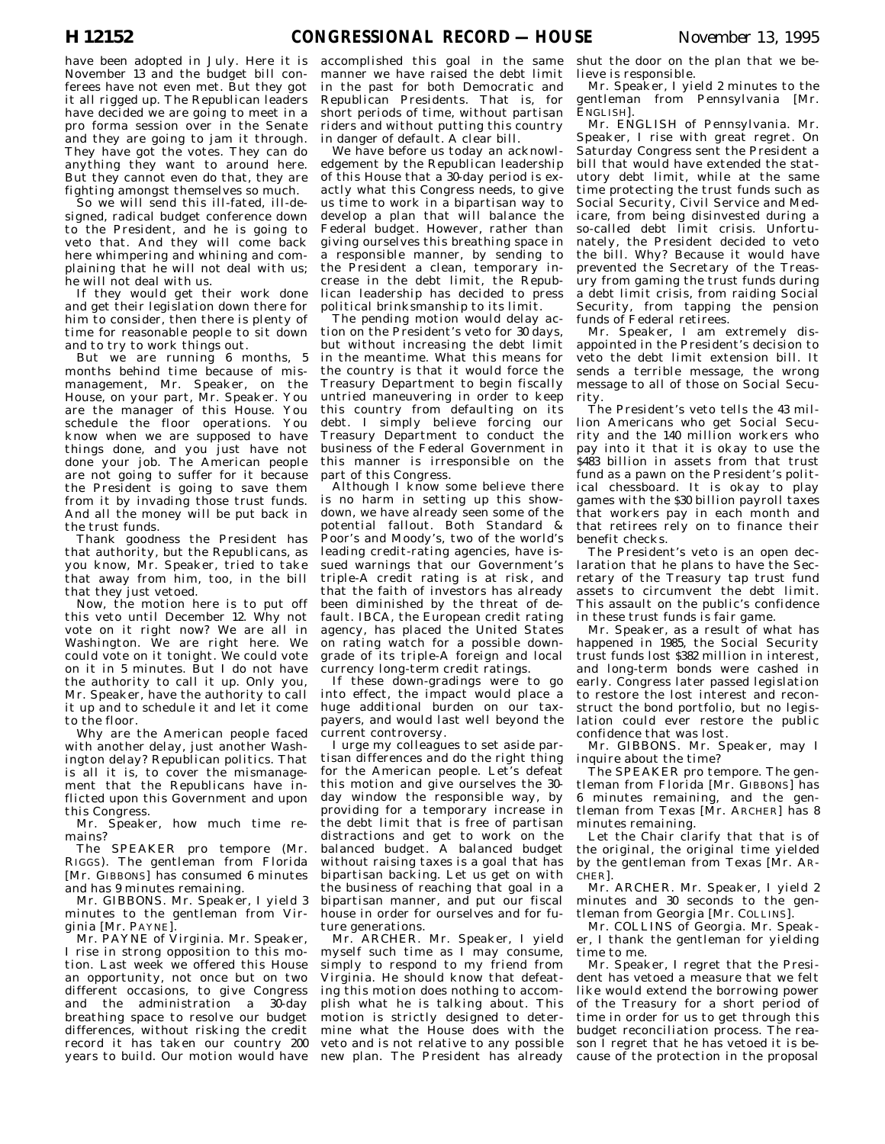have been adopted in July. Here it is November 13 and the budget bill conferees have not even met. But they got it all rigged up. The Republican leaders have decided we are going to meet in a pro forma session over in the Senate and they are going to jam it through. They have got the votes. They can do anything they want to around here. But they cannot even do that, they are fighting amongst themselves so much.

So we will send this ill-fated, ill-designed, radical budget conference down to the President, and he is going to veto that. And they will come back here whimpering and whining and complaining that he will not deal with us; he will not deal with us.

If they would get their work done and get their legislation down there for him to consider, then there is plenty of time for reasonable people to sit down and to try to work things out.

But we are running 6 months, 5 months behind time because of mismanagement, Mr. Speaker, on the House, on your part, Mr. Speaker. You are the manager of this House. You schedule the floor operations. You know when we are supposed to have things done, and you just have not done your job. The American people are not going to suffer for it because the President is going to save them from it by invading those trust funds. And all the money will be put back in the trust funds.

Thank goodness the President has that authority, but the Republicans, as you know, Mr. Speaker, tried to take that away from him, too, in the bill that they just vetoed.

Now, the motion here is to put off this veto until December 12. Why not vote on it right now? We are all in Washington. We are right here. We could vote on it tonight. We could vote on it in 5 minutes. But I do not have the authority to call it up. Only you, Mr. Speaker, have the authority to call it up and to schedule it and let it come to the floor.

Why are the American people faced with another delay, just another Washington delay? Republican politics. That is all it is, to cover the mismanagement that the Republicans have inflicted upon this Government and upon this Congress.

Mr. Speaker, how much time remains?

The SPEAKER pro tempore (Mr. RIGGS). The gentleman from Florida [Mr. GIBBONS] has consumed 6 minutes and has 9 minutes remaining.

Mr. GIBBONS. Mr. Speaker, I yield 3 minutes to the gentleman from Virginia [Mr. PAYNE].

Mr. PAYNE of Virginia. Mr. Speaker, I rise in strong opposition to this motion. Last week we offered this House an opportunity, not once but on two different occasions, to give Congress and the administration a 30-day breathing space to resolve our budget differences, without risking the credit record it has taken our country 200 years to build. Our motion would have

accomplished this goal in the same manner we have raised the debt limit in the past for both Democratic and Republican Presidents. That is, for short periods of time, without partisan riders and without putting this country in danger of default. A clear bill.

We have before us today an acknowledgement by the Republican leadership of this House that a 30-day period is exactly what this Congress needs, to give us time to work in a bipartisan way to develop a plan that will balance the Federal budget. However, rather than giving ourselves this breathing space in a responsible manner, by sending to the President a clean, temporary increase in the debt limit, the Republican leadership has decided to press political brinksmanship to its limit.

The pending motion would delay action on the President's veto for 30 days, but without increasing the debt limit in the meantime. What this means for the country is that it would force the Treasury Department to begin fiscally untried maneuvering in order to keep this country from defaulting on its debt. I simply believe forcing our Treasury Department to conduct the business of the Federal Government in this manner is irresponsible on the part of this Congress.

Although I know some believe there is no harm in setting up this showdown, we have already seen some of the potential fallout. Both Standard & Poor's and Moody's, two of the world's leading credit-rating agencies, have issued warnings that our Government's triple-A credit rating is at risk, and that the faith of investors has already been diminished by the threat of default. IBCA, the European credit rating agency, has placed the United States on rating watch for a possible downgrade of its triple-A foreign and local currency long-term credit ratings.

If these down-gradings were to go into effect, the impact would place a huge additional burden on our taxpayers, and would last well beyond the current controversy.

I urge my colleagues to set aside partisan differences and do the right thing for the American people. Let's defeat this motion and give ourselves the 30 day window the responsible way, by providing for a temporary increase in the debt limit that is free of partisan distractions and get to work on the balanced budget. A balanced budget without raising taxes is a goal that has bipartisan backing. Let us get on with the business of reaching that goal in a bipartisan manner, and put our fiscal house in order for ourselves and for future generations.

Mr. ARCHER. Mr. Speaker, I yield myself such time as I may consume, simply to respond to my friend from Virginia. He should know that defeating this motion does nothing to accomplish what he is talking about. This motion is strictly designed to determine what the House does with the veto and is not relative to any possible new plan. The President has already

shut the door on the plan that we believe is responsible.

Mr. Speaker, I yield 2 minutes to the gentleman from Pennsylvania [Mr. ENGLISH].

Mr. ENGLISH of Pennsylvania. Mr. Speaker, I rise with great regret. On Saturday Congress sent the President a bill that would have extended the statutory debt limit, while at the same time protecting the trust funds such as Social Security, Civil Service and Medicare, from being disinvested during a so-called debt limit crisis. Unfortunately, the President decided to veto the bill. Why? Because it would have prevented the Secretary of the Treasury from gaming the trust funds during a debt limit crisis, from raiding Social Security, from tapping the pension funds of Federal retirees.

Mr. Speaker, I am extremely disappointed in the President's decision to veto the debt limit extension bill. It sends a terrible message, the wrong message to all of those on Social Security.

The President's veto tells the 43 million Americans who get Social Security and the 140 million workers who pay into it that it is okay to use the \$483 billion in assets from that trust fund as a pawn on the President's political chessboard. It is okay to play games with the \$30 billion payroll taxes that workers pay in each month and that retirees rely on to finance their benefit checks.

The President's veto is an open declaration that he plans to have the Secretary of the Treasury tap trust fund assets to circumvent the debt limit. This assault on the public's confidence in these trust funds is fair game.

Mr. Speaker, as a result of what has happened in 1985, the Social Security trust funds lost \$382 million in interest, and long-term bonds were cashed in early. Congress later passed legislation to restore the lost interest and reconstruct the bond portfolio, but no legislation could ever restore the public confidence that was lost.

Mr. GIBBONS. Mr. Speaker, may I inquire about the time?

The SPEAKER pro tempore. The gentleman from Florida [Mr. GIBBONS] has 6 minutes remaining, and the gentleman from Texas [Mr. ARCHER] has 8 minutes remaining.

Let the Chair clarify that that is of the original, the original time yielded by the gentleman from Texas [Mr. AR-CHER].

Mr. ARCHER. Mr. Speaker, I yield 2 minutes and 30 seconds to the gentleman from Georgia [Mr. COLLINS].

Mr. COLLINS of Georgia. Mr. Speaker, I thank the gentleman for yielding time to me.

Mr. Speaker, I regret that the President has vetoed a measure that we felt like would extend the borrowing power of the Treasury for a short period of time in order for us to get through this budget reconciliation process. The reason I regret that he has vetoed it is because of the protection in the proposal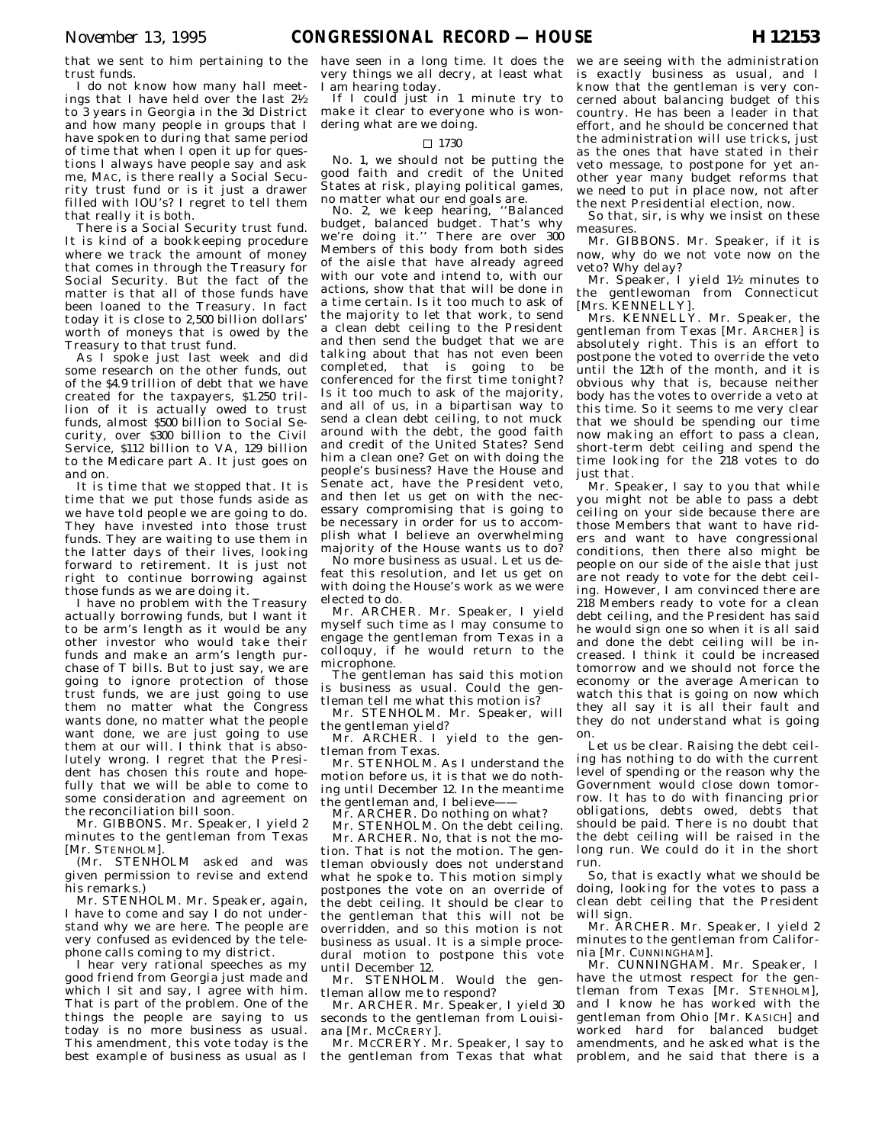that we sent to him pertaining to the trust funds.

I do not know how many hall meetings that I have held over the last 21⁄2 to 3 years in Georgia in the 3d District and how many people in groups that I have spoken to during that same period of time that when I open it up for questions I always have people say and ask me, MAC, is there really a Social Security trust fund or is it just a drawer filled with IOU's? I regret to tell them that really it is both.

There is a Social Security trust fund. It is kind of a bookkeeping procedure where we track the amount of money that comes in through the Treasury for Social Security. But the fact of the matter is that all of those funds have been loaned to the Treasury. In fact today it is close to 2,500 billion dollars' worth of moneys that is owed by the Treasury to that trust fund.

As I spoke just last week and did some research on the other funds, out of the \$4.9 trillion of debt that we have created for the taxpayers, \$1.250 trillion of it is actually owed to trust funds, almost \$500 billion to Social Security, over \$300 billion to the Civil Service, \$112 billion to VA, 129 billion to the Medicare part A. It just goes on and on.

It is time that we stopped that. It is time that we put those funds aside as we have told people we are going to do. They have invested into those trust funds. They are waiting to use them in the latter days of their lives, looking forward to retirement. It is just not right to continue borrowing against those funds as we are doing it.

I have no problem with the Treasury actually borrowing funds, but I want it to be arm's length as it would be any other investor who would take their funds and make an arm's length purchase of T bills. But to just say, we are going to ignore protection of those trust funds, we are just going to use them no matter what the Congress wants done, no matter what the people want done, we are just going to use them at our will. I think that is absolutely wrong. I regret that the President has chosen this route and hopefully that we will be able to come to some consideration and agreement on the reconciliation bill soon.

Mr. GIBBONS. Mr. Speaker, I yield 2 minutes to the gentleman from Texas [Mr. STENHOLM].

(Mr. STENHOLM asked and was given permission to revise and extend his remarks.)

Mr. STENHOLM. Mr. Speaker, again, I have to come and say  $I$  do not understand why we are here. The people are very confused as evidenced by the telephone calls coming to my district.

I hear very rational speeches as my good friend from Georgia just made and which I sit and say,  $\overrightarrow{I}$  agree with him. That is part of the problem. One of the things the people are saying to us today is no more business as usual. This amendment, this vote today is the best example of business as usual as I have seen in a long time. It does the very things we all decry, at least what I am hearing today.

If I could just in 1 minute try to make it clear to everyone who is wondering what are we doing.

#### $\Box$  1730

No. 1, we should not be putting the good faith and credit of the United States at risk, playing political games, no matter what our end goals are.

No. 2, we keep hearing, ''Balanced budget, balanced budget. That's why we're doing it.'' There are over 300 Members of this body from both sides of the aisle that have already agreed with our vote and intend to, with our actions, show that that will be done in a time certain. Is it too much to ask of the majority to let that work, to send a clean debt ceiling to the President and then send the budget that we are talking about that has not even been completed, that is going to be conferenced for the first time tonight? Is it too much to ask of the majority, and all of us, in a bipartisan way to send a clean debt ceiling, to not muck around with the debt, the good faith and credit of the United States? Send him a clean one? Get on with doing the people's business? Have the House and Senate act, have the President veto, and then let us get on with the necessary compromising that is going to be necessary in order for us to accomplish what I believe an overwhelming majority of the House wants us to do?

No more business as usual. Let us defeat this resolution, and let us get on with doing the House's work as we were elected to do.

Mr. ARCHER. Mr. Speaker, I yield myself such time as I may consume to engage the gentleman from Texas in a colloquy, if he would return to the microphone.

The gentleman has said this motion is business as usual. Could the gentleman tell me what this motion is?

Mr. STENHOLM. Mr. Speaker, will the gentleman yield?

Mr. ARCHER. I yield to the gentleman from Texas.

Mr. STENHOLM. As I understand the motion before us, it is that we do nothing until December 12. In the meantime the gentleman and, I believe-

Mr. ARCHER. Do nothing on what?

Mr. STENHOLM. On the debt ceiling. Mr. ARCHER. No, that is not the motion. That is not the motion. The gentleman obviously does not understand what he spoke to. This motion simply postpones the vote on an override of the debt ceiling. It should be clear to the gentleman that this will not be overridden, and so this motion is not business as usual. It is a simple procedural motion to postpone this vote until December 12.

Mr. STENHOLM. Would the gentleman allow me to respond?

Mr. ARCHER. Mr. Speaker, I yield 30 seconds to the gentleman from Louisiana [Mr. MCCRERY].

Mr. MCCRERY. Mr. Speaker, I say to the gentleman from Texas that what

we are seeing with the administration is exactly business as usual, and I know that the gentleman is very concerned about balancing budget of this country. He has been a leader in that effort, and he should be concerned that the administration will use tricks, just as the ones that have stated in their veto message, to postpone for yet another year many budget reforms that we need to put in place now, not after the next Presidential election, now.

So that, sir, is why we insist on these measures.

Mr. GIBBONS. Mr. Speaker, if it is now, why do we not vote now on the veto? Why delay?

Mr. Speaker, I yield  $1\frac{1}{2}$  minutes to the gentlewoman from Connecticut [Mrs. KENNELLY].

Mrs. KENNELLY. Mr. Speaker, the gentleman from Texas [Mr. ARCHER] is absolutely right. This is an effort to postpone the voted to override the veto until the 12th of the month, and it is obvious why that is, because neither body has the votes to override a veto at this time. So it seems to me very clear that we should be spending our time now making an effort to pass a clean, short-term debt ceiling and spend the time looking for the 218 votes to do just that.

Mr. Speaker, I say to you that while you might not be able to pass a debt ceiling on your side because there are those Members that want to have riders and want to have congressional conditions, then there also might be people on our side of the aisle that just are not ready to vote for the debt ceiling. However, I am convinced there are 218 Members ready to vote for a clean debt ceiling, and the President has said he would sign one so when it is all said and done the debt ceiling will be increased. I think it could be increased tomorrow and we should not force the economy or the average American to watch this that is going on now which they all say it is all their fault and they do not understand what is going on.

Let us be clear. Raising the debt ceiling has nothing to do with the current level of spending or the reason why the Government would close down tomorrow. It has to do with financing prior obligations, debts owed, debts that should be paid. There is no doubt that the debt ceiling will be raised in the long run. We could do it in the short run.

So, that is exactly what we should be doing, looking for the votes to pass a clean debt ceiling that the President will sign.

Mr. ARCHER. Mr. Speaker, I yield 2 minutes to the gentleman from California [Mr. CUNNINGHAM].

Mr. CUNNINGHAM. Mr. Speaker, I have the utmost respect for the gentleman from Texas [Mr. STENHOLM], and I know he has worked with the gentleman from Ohio [Mr. KASICH] and worked hard for balanced budget amendments, and he asked what is the problem, and he said that there is a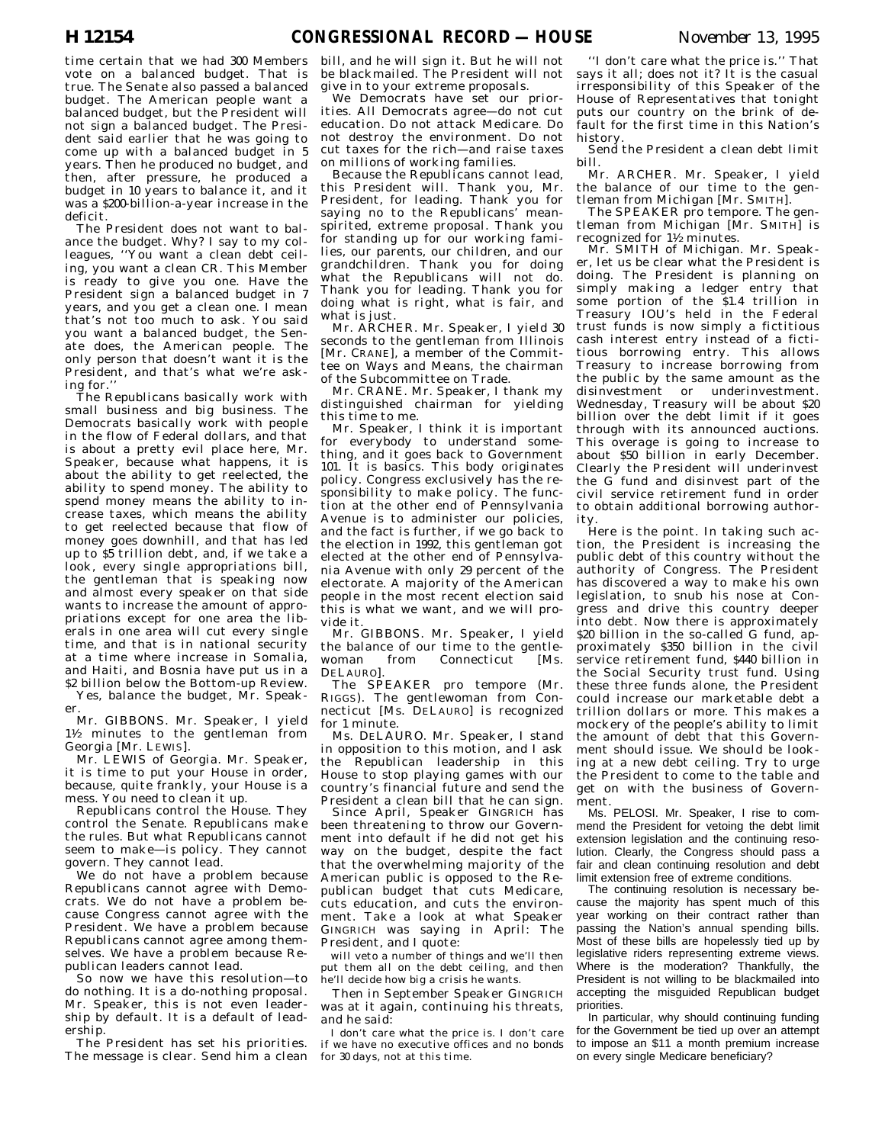time certain that we had 300 Members vote on a balanced budget. That is true. The Senate also passed a balanced budget. The American people want a balanced budget, but the President will not sign a balanced budget. The President said earlier that he was going to come up with a balanced budget in 5 years. Then he produced no budget, and then, after pressure, he produced a budget in 10 years to balance it, and it was a \$200-billion-a-year increase in the deficit.

The President does not want to balance the budget. Why? I say to my colleagues, ''You want a clean debt ceiling, you want a clean CR. This Member is ready to give you one. Have the President sign a balanced budget in 7 years, and you get a clean one. I mean that's not too much to ask. You said you want a balanced budget, the Senate does, the American people. The only person that doesn't want it is the President, and that's what we're asking for.''

The Republicans basically work with small business and big business. The Democrats basically work with people in the flow of Federal dollars, and that is about a pretty evil place here, Mr. Speaker, because what happens, it is about the ability to get reelected, the ability to spend money. The ability to spend money means the ability to increase taxes, which means the ability to get reelected because that flow of money goes downhill, and that has led up to \$5 trillion debt, and, if we take a look, every single appropriations bill, the gentleman that is speaking now and almost every speaker on that side wants to increase the amount of appropriations except for one area the liberals in one area will cut every single time, and that is in national security at a time where increase in Somalia, and Haiti, and Bosnia have put us in a \$2 billion below the Bottom-up Review. Yes, balance the budget, Mr. Speak-

er. Mr. GIBBONS. Mr. Speaker, I yield 11⁄2 minutes to the gentleman from

Georgia [Mr. LEWIS]. Mr. LEWIS of Georgia. Mr. Speaker, it is time to put your House in order, because, quite frankly, your House is a mess. You need to clean it up.

Republicans control the House. They control the Senate. Republicans make the rules. But what Republicans cannot seem to make—is policy. They cannot govern. They cannot lead.

We do not have a problem because Republicans cannot agree with Democrats. We do not have a problem because Congress cannot agree with the President. We have a problem because Republicans cannot agree among themselves. We have a problem because Republican leaders cannot lead.

So now we have this resolution—to do nothing. It is a do-nothing proposal. Mr. Speaker, this is not even leadership by default. It is a default of leadership.

The President has set his priorities. The message is clear. Send him a clean

bill, and he will sign it. But he will not be blackmailed. The President will not give in to your extreme proposals.

We Democrats have set our priorities. All Democrats agree—do not cut education. Do not attack Medicare. Do not destroy the environment. Do not cut taxes for the rich—and raise taxes on millions of working families.

Because the Republicans cannot lead, this President will. Thank you, Mr. President, for leading. Thank you for saying no to the Republicans' meanspirited, extreme proposal. Thank you for standing up for our working families, our parents, our children, and our grandchildren. Thank you for doing what the Republicans will not do. Thank you for leading. Thank you for doing what is right, what is fair, and what is just.

Mr. ARCHER. Mr. Speaker, I yield 30 seconds to the gentleman from Illinois [Mr. CRANE], a member of the Committee on Ways and Means, the chairman of the Subcommittee on Trade.

Mr. CRANE. Mr. Speaker, I thank my distinguished chairman for yielding this time to me.

Mr. Speaker, I think it is important for everybody to understand something, and it goes back to Government 101. It is basics. This body originates policy. Congress exclusively has the responsibility to make policy. The function at the other end of Pennsylvania Avenue is to administer our policies, and the fact is further, if we go back to the election in 1992, this gentleman got elected at the other end of Pennsylvania Avenue with only 29 percent of the electorate. A majority of the American people in the most recent election said this is what we want, and we will provide it.

Mr. GIBBONS. Mr. Speaker, I yield the balance of our time to the gentlewoman from Connecticut [Ms. DELAURO].

The SPEAKER pro tempore (Mr. RIGGS). The gentlewoman from Connecticut [Ms. DELAURO] is recognized for 1 minute.

Ms. DELAURO. Mr. Speaker, I stand in opposition to this motion, and I ask the Republican leadership in this House to stop playing games with our country's financial future and send the President a clean bill that he can sign.

Since April, Speaker GINGRICH has been threatening to throw our Government into default if he did not get his way on the budget, despite the fact that the overwhelming majority of the American public is opposed to the Republican budget that cuts Medicare, cuts education, and cuts the environment. Take a look at what Speaker GINGRICH was saying in April: The President, and I quote:

will veto a number of things and we'll then put them all on the debt ceiling, and then he'll decide how big a crisis he wants.

Then in September Speaker GINGRICH was at it again, continuing his threats, and he said:

I don't care what the price is. I don't care if we have no executive offices and no bonds for 30 days, not at this time.

''I don't care what the price is.'' That says it all; does not it? It is the casual irresponsibility of this Speaker of the House of Representatives that tonight puts our country on the brink of default for the first time in this Nation's history.

Send the President a clean debt limit bill.

Mr. ARCHER. Mr. Speaker, I yield the balance of our time to the gentleman from Michigan [Mr. SMITH].

The SPEAKER pro tempore. The gentleman from Michigan [Mr. SMITH] is recognized for 11⁄2 minutes.

Mr. SMITH of Michigan. Mr. Speaker, let us be clear what the President is doing. The President is planning on simply making a ledger entry that some portion of the \$1.4 trillion in Treasury IOU's held in the Federal trust funds is now simply a fictitious cash interest entry instead of a fictitious borrowing entry. This allows Treasury to increase borrowing from the public by the same amount as the disinvestment or underinvestment. Wednesday, Treasury will be about \$20 billion over the debt limit if it goes through with its announced auctions. This overage is going to increase to about \$50 billion in early December. Clearly the President will underinvest the G fund and disinvest part of the civil service retirement fund in order to obtain additional borrowing authority.

Here is the point. In taking such action, the President is increasing the public debt of this country without the authority of Congress. The President has discovered a way to make his own legislation, to snub his nose at Congress and drive this country deeper into debt. Now there is approximately \$20 billion in the so-called  $G$  fund, approximately \$350 billion in the civil service retirement fund, \$440 billion in the Social Security trust fund. Using these three funds alone, the President could increase our marketable debt a trillion dollars or more. This makes a mockery of the people's ability to limit the amount of debt that this Government should issue. We should be looking at a new debt ceiling. Try to urge the President to come to the table and get on with the business of Government.

Ms. PELOSI. Mr. Speaker, I rise to commend the President for vetoing the debt limit extension legislation and the continuing resolution. Clearly, the Congress should pass a fair and clean continuing resolution and debt limit extension free of extreme conditions.

The continuing resolution is necessary because the majority has spent much of this year working on their contract rather than passing the Nation's annual spending bills. Most of these bills are hopelessly tied up by legislative riders representing extreme views. Where is the moderation? Thankfully, the President is not willing to be blackmailed into accepting the misguided Republican budget priorities.

In particular, why should continuing funding for the Government be tied up over an attempt to impose an \$11 a month premium increase on every single Medicare beneficiary?